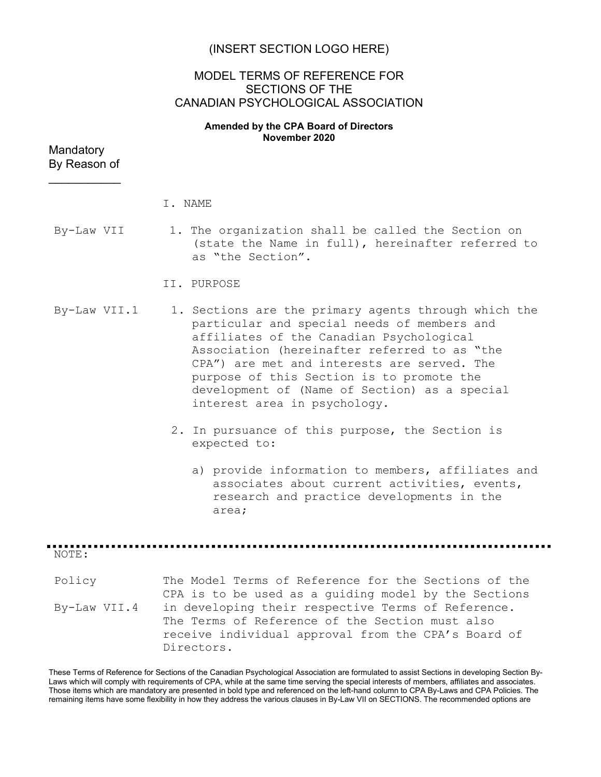## (INSERT SECTION LOGO HERE)

# MODEL TERMS OF REFERENCE FOR SECTIONS OF THE CANADIAN PSYCHOLOGICAL ASSOCIATION

#### Amended by the CPA Board of Directors November 2020

| Mandatory    |  |
|--------------|--|
| By Reason of |  |

 $\frac{1}{2}$  ,  $\frac{1}{2}$  ,  $\frac{1}{2}$  ,  $\frac{1}{2}$  ,  $\frac{1}{2}$  ,  $\frac{1}{2}$ 

|              | I. NAME                                                                                                                                                                                                                                                                                                                                                                      |
|--------------|------------------------------------------------------------------------------------------------------------------------------------------------------------------------------------------------------------------------------------------------------------------------------------------------------------------------------------------------------------------------------|
| By-Law VII   | 1. The organization shall be called the Section on<br>(state the Name in full), hereinafter referred to<br>as "the Section".                                                                                                                                                                                                                                                 |
|              | II. PURPOSE                                                                                                                                                                                                                                                                                                                                                                  |
| By-Law VII.1 | 1. Sections are the primary agents through which the<br>particular and special needs of members and<br>affiliates of the Canadian Psychological<br>Association (hereinafter referred to as "the<br>CPA") are met and interests are served. The<br>purpose of this Section is to promote the<br>development of (Name of Section) as a special<br>interest area in psychology. |

2. In pursuance of this purpose, the Section is expected to:

a) provide information to members, affiliates and associates about current activities, events, research and practice developments in the area;

NOTE:

Policy By-Law VII.4 The Model Terms of Reference for the Sections of the CPA is to be used as a guiding model by the Sections in developing their respective Terms of Reference. The Terms of Reference of the Section must also receive individual approval from the CPA's Board of Directors.

These Terms of Reference for Sections of the Canadian Psychological Association are formulated to assist Sections in developing Section By-Laws which will comply with requirements of CPA, while at the same time serving the special interests of members, affiliates and associates. Those items which are mandatory are presented in bold type and referenced on the left-hand column to CPA By-Laws and CPA Policies. The remaining items have some flexibility in how they address the various clauses in By-Law VII on SECTIONS. The recommended options are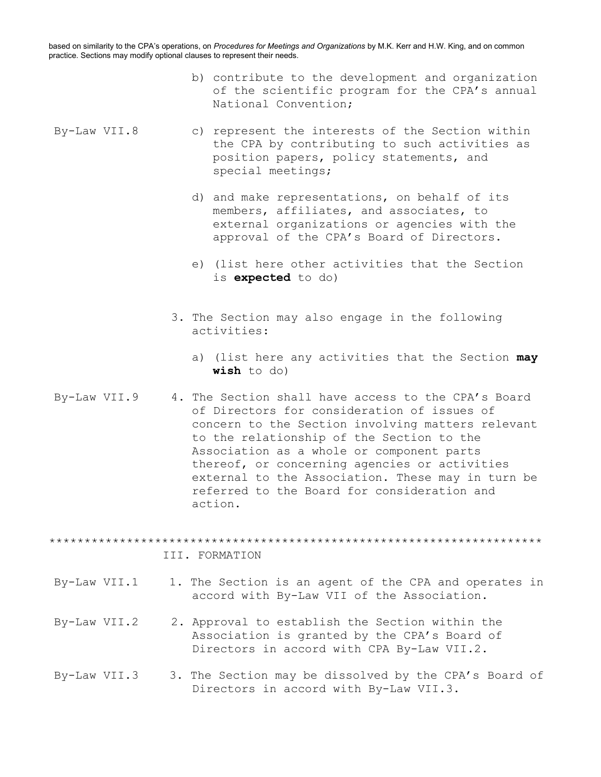based on similarity to the CPA's operations, on Procedures for Meetings and Organizations by M.K. Kerr and H.W. King, and on common practice. Sections may modify optional clauses to represent their needs.

- b) contribute to the development and organization of the scientific program for the CPA's annual National Convention;
- By-Law VII.8 c) represent the interests of the Section within the CPA by contributing to such activities as position papers, policy statements, and special meetings;
	- d) and make representations, on behalf of its members, affiliates, and associates, to external organizations or agencies with the approval of the CPA's Board of Directors.
	- e) (list here other activities that the Section is expected to do)
	- 3. The Section may also engage in the following activities:
		- a) (list here any activities that the Section may wish to do)
- By-Law VII.9 4. The Section shall have access to the CPA's Board of Directors for consideration of issues of concern to the Section involving matters relevant to the relationship of the Section to the Association as a whole or component parts thereof, or concerning agencies or activities external to the Association. These may in turn be referred to the Board for consideration and action.

\*\*\*\*\*\*\*\*\*\*\*\*\*\*\*\*\*\*\*\*\*\*\*\*\*\*\*\*\*\*\*\*\*\*\*\*\*\*\*\*\*\*\*\*\*\*\*\*\*\*\*\*\*\*\*\*\*\*\*\*\*\*\*\*\*\*\*\*\*\*

#### III. FORMATION

- By-Law VII.1 1. The Section is an agent of the CPA and operates in accord with By-Law VII of the Association.
- By-Law VII.2 2. Approval to establish the Section within the Association is granted by the CPA's Board of Directors in accord with CPA By-Law VII.2.
- By-Law VII.3 3. The Section may be dissolved by the CPA's Board of Directors in accord with By-Law VII.3.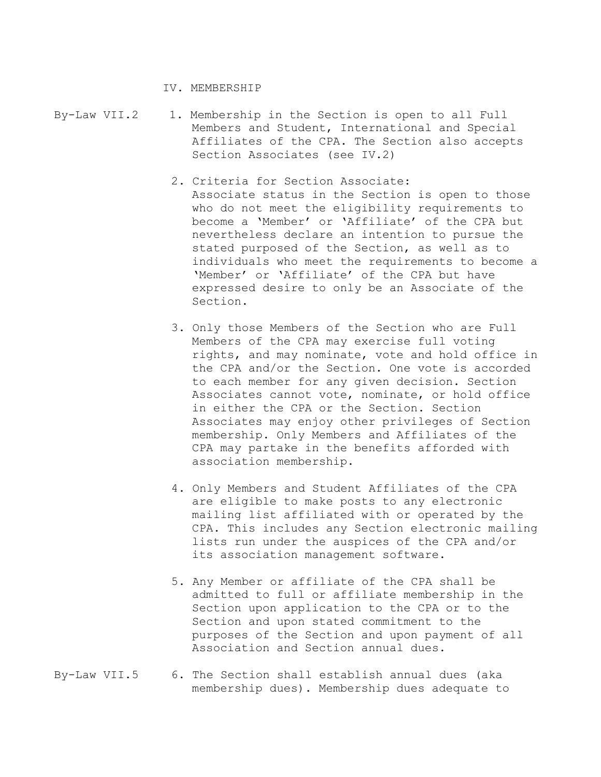IV. MEMBERSHIP

- By-Law VII.2 1. Membership in the Section is open to all Full Members and Student, International and Special Affiliates of the CPA. The Section also accepts Section Associates (see IV.2)
	- 2. Criteria for Section Associate: Associate status in the Section is open to those who do not meet the eligibility requirements to become a 'Member' or 'Affiliate' of the CPA but nevertheless declare an intention to pursue the stated purposed of the Section, as well as to individuals who meet the requirements to become a 'Member' or 'Affiliate' of the CPA but have expressed desire to only be an Associate of the Section.
	- 3. Only those Members of the Section who are Full Members of the CPA may exercise full voting rights, and may nominate, vote and hold office in the CPA and/or the Section. One vote is accorded to each member for any given decision. Section Associates cannot vote, nominate, or hold office in either the CPA or the Section. Section Associates may enjoy other privileges of Section membership. Only Members and Affiliates of the CPA may partake in the benefits afforded with association membership.
	- 4. Only Members and Student Affiliates of the CPA are eligible to make posts to any electronic mailing list affiliated with or operated by the CPA. This includes any Section electronic mailing lists run under the auspices of the CPA and/or its association management software.
	- 5. Any Member or affiliate of the CPA shall be admitted to full or affiliate membership in the Section upon application to the CPA or to the Section and upon stated commitment to the purposes of the Section and upon payment of all Association and Section annual dues.
- By-Law VII.5 6. The Section shall establish annual dues (aka membership dues). Membership dues adequate to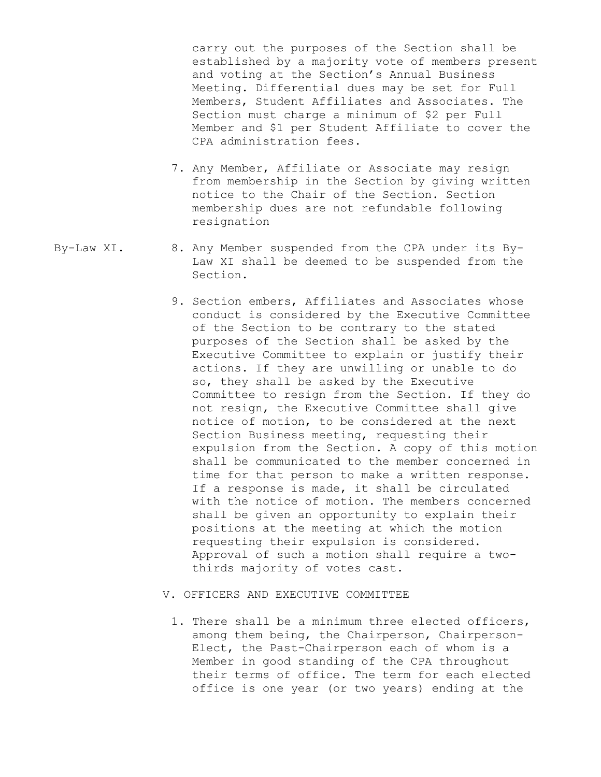carry out the purposes of the Section shall be established by a majority vote of members present and voting at the Section's Annual Business Meeting. Differential dues may be set for Full Members, Student Affiliates and Associates. The Section must charge a minimum of \$2 per Full Member and \$1 per Student Affiliate to cover the CPA administration fees.

- 7. Any Member, Affiliate or Associate may resign from membership in the Section by giving written notice to the Chair of the Section. Section membership dues are not refundable following resignation
- By-Law XI. 8. Any Member suspended from the CPA under its By-Law XI shall be deemed to be suspended from the Section.
	- 9. Section embers, Affiliates and Associates whose conduct is considered by the Executive Committee of the Section to be contrary to the stated purposes of the Section shall be asked by the Executive Committee to explain or justify their actions. If they are unwilling or unable to do so, they shall be asked by the Executive Committee to resign from the Section. If they do not resign, the Executive Committee shall give notice of motion, to be considered at the next Section Business meeting, requesting their expulsion from the Section. A copy of this motion shall be communicated to the member concerned in time for that person to make a written response. If a response is made, it shall be circulated with the notice of motion. The members concerned shall be given an opportunity to explain their positions at the meeting at which the motion requesting their expulsion is considered. Approval of such a motion shall require a twothirds majority of votes cast.
	- V. OFFICERS AND EXECUTIVE COMMITTEE
		- 1. There shall be a minimum three elected officers, among them being, the Chairperson, Chairperson-Elect, the Past-Chairperson each of whom is a Member in good standing of the CPA throughout their terms of office. The term for each elected office is one year (or two years) ending at the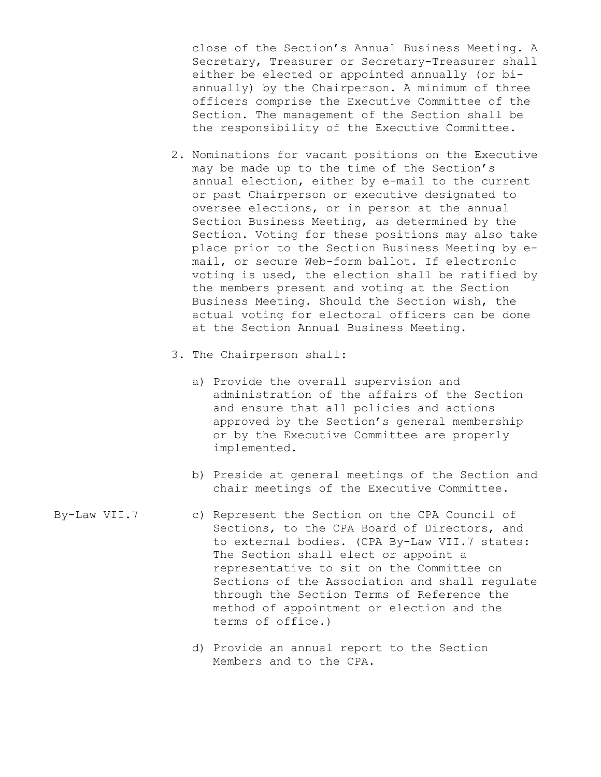close of the Section's Annual Business Meeting. A Secretary, Treasurer or Secretary-Treasurer shall either be elected or appointed annually (or biannually) by the Chairperson. A minimum of three officers comprise the Executive Committee of the Section. The management of the Section shall be the responsibility of the Executive Committee.

- 2. Nominations for vacant positions on the Executive may be made up to the time of the Section's annual election, either by e-mail to the current or past Chairperson or executive designated to oversee elections, or in person at the annual Section Business Meeting, as determined by the Section. Voting for these positions may also take place prior to the Section Business Meeting by email, or secure Web-form ballot. If electronic voting is used, the election shall be ratified by the members present and voting at the Section Business Meeting. Should the Section wish, the actual voting for electoral officers can be done at the Section Annual Business Meeting.
- 3. The Chairperson shall:
	- a) Provide the overall supervision and administration of the affairs of the Section and ensure that all policies and actions approved by the Section's general membership or by the Executive Committee are properly implemented.
	- b) Preside at general meetings of the Section and chair meetings of the Executive Committee.
- By-Law VII.7 c) Represent the Section on the CPA Council of Sections, to the CPA Board of Directors, and to external bodies. (CPA By-Law VII.7 states: The Section shall elect or appoint a representative to sit on the Committee on Sections of the Association and shall regulate through the Section Terms of Reference the method of appointment or election and the terms of office.)
	- d) Provide an annual report to the Section Members and to the CPA.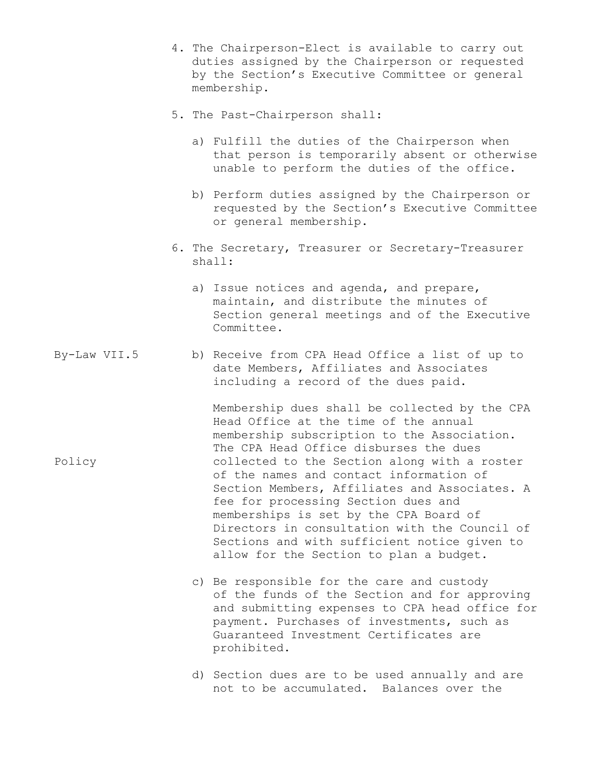- 4. The Chairperson-Elect is available to carry out duties assigned by the Chairperson or requested by the Section's Executive Committee or general membership.
- 5. The Past-Chairperson shall:
	- a) Fulfill the duties of the Chairperson when that person is temporarily absent or otherwise unable to perform the duties of the office.
	- b) Perform duties assigned by the Chairperson or requested by the Section's Executive Committee or general membership.
- 6. The Secretary, Treasurer or Secretary-Treasurer shall:
	- a) Issue notices and agenda, and prepare, maintain, and distribute the minutes of Section general meetings and of the Executive Committee.
- By-Law VII.5 b) Receive from CPA Head Office a list of up to date Members, Affiliates and Associates including a record of the dues paid.

Membership dues shall be collected by the CPA Head Office at the time of the annual membership subscription to the Association. The CPA Head Office disburses the dues collected to the Section along with a roster of the names and contact information of Section Members, Affiliates and Associates. A fee for processing Section dues and memberships is set by the CPA Board of Directors in consultation with the Council of Sections and with sufficient notice given to allow for the Section to plan a budget.

- c) Be responsible for the care and custody of the funds of the Section and for approving and submitting expenses to CPA head office for payment. Purchases of investments, such as Guaranteed Investment Certificates are prohibited.
- d) Section dues are to be used annually and are not to be accumulated. Balances over the

Policy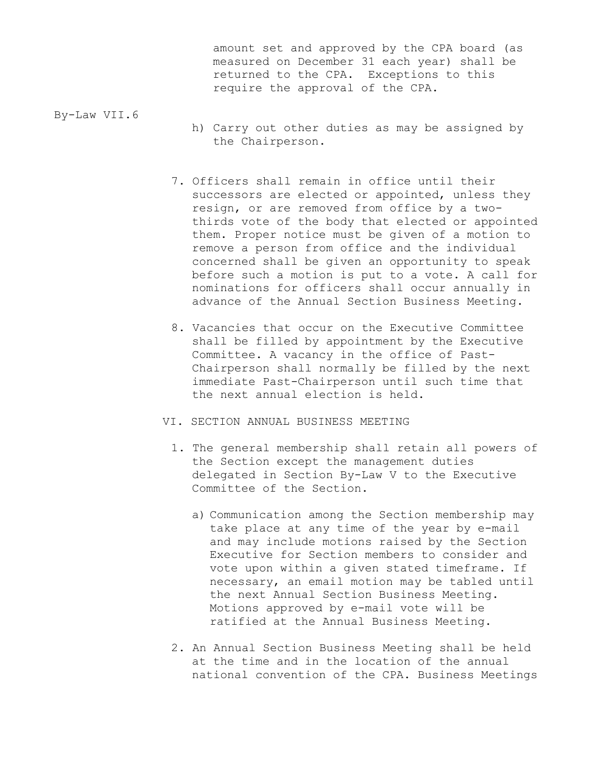amount set and approved by the CPA board (as measured on December 31 each year) shall be returned to the CPA. Exceptions to this require the approval of the CPA.

By-Law VII.6

- h) Carry out other duties as may be assigned by the Chairperson.
- 7. Officers shall remain in office until their successors are elected or appointed, unless they resign, or are removed from office by a twothirds vote of the body that elected or appointed them. Proper notice must be given of a motion to remove a person from office and the individual concerned shall be given an opportunity to speak before such a motion is put to a vote. A call for nominations for officers shall occur annually in advance of the Annual Section Business Meeting.
- 8. Vacancies that occur on the Executive Committee shall be filled by appointment by the Executive Committee. A vacancy in the office of Past-Chairperson shall normally be filled by the next immediate Past-Chairperson until such time that the next annual election is held.
- VI. SECTION ANNUAL BUSINESS MEETING
	- 1. The general membership shall retain all powers of the Section except the management duties delegated in Section By-Law V to the Executive Committee of the Section.
		- a) Communication among the Section membership may take place at any time of the year by e-mail and may include motions raised by the Section Executive for Section members to consider and vote upon within a given stated timeframe. If necessary, an email motion may be tabled until the next Annual Section Business Meeting. Motions approved by e-mail vote will be ratified at the Annual Business Meeting.
	- 2. An Annual Section Business Meeting shall be held at the time and in the location of the annual national convention of the CPA. Business Meetings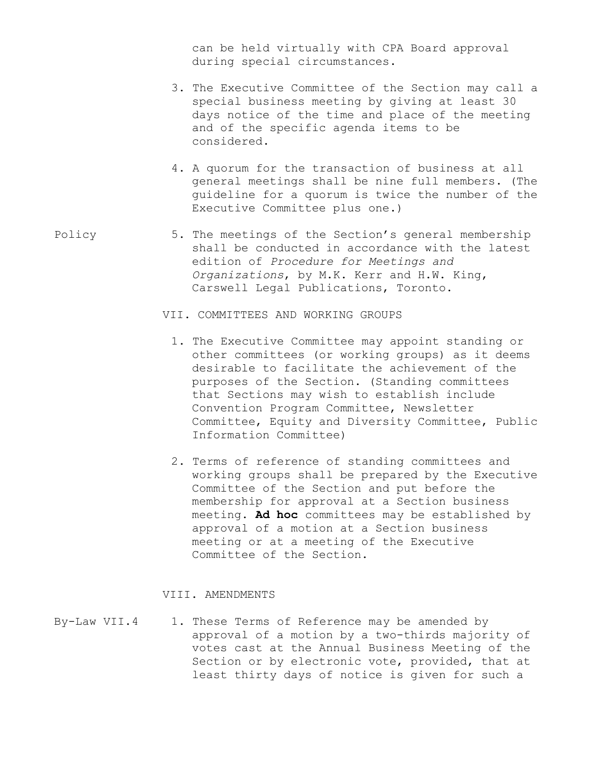can be held virtually with CPA Board approval during special circumstances.

- 3. The Executive Committee of the Section may call a special business meeting by giving at least 30 days notice of the time and place of the meeting and of the specific agenda items to be considered.
- 4. A quorum for the transaction of business at all general meetings shall be nine full members. (The guideline for a quorum is twice the number of the Executive Committee plus one.)
- Policy 5. The meetings of the Section's general membership shall be conducted in accordance with the latest edition of Procedure for Meetings and Organizations, by M.K. Kerr and H.W. King, Carswell Legal Publications, Toronto.
	- VII. COMMITTEES AND WORKING GROUPS
		- 1. The Executive Committee may appoint standing or other committees (or working groups) as it deems desirable to facilitate the achievement of the purposes of the Section. (Standing committees that Sections may wish to establish include Convention Program Committee, Newsletter Committee, Equity and Diversity Committee, Public Information Committee)
		- 2. Terms of reference of standing committees and working groups shall be prepared by the Executive Committee of the Section and put before the membership for approval at a Section business meeting. Ad hoc committees may be established by approval of a motion at a Section business meeting or at a meeting of the Executive Committee of the Section.

### VIII. AMENDMENTS

By-Law VII.4 1. These Terms of Reference may be amended by approval of a motion by a two-thirds majority of votes cast at the Annual Business Meeting of the Section or by electronic vote, provided, that at least thirty days of notice is given for such a